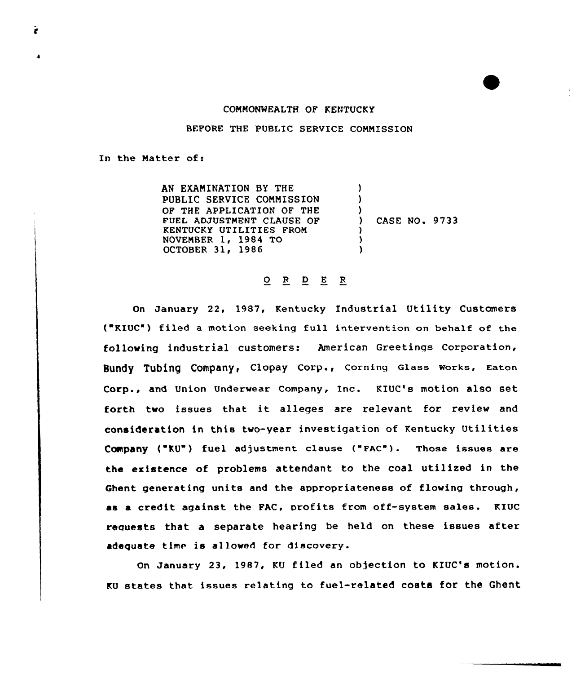## COMMONWEALTH OF KENTUCKY

BEFORE THE PUBLIC SERVICE COMMISSION

In the Matter of:

AN EXAMINATION BY THE PUBLIC SERVICE COMMISSION OF THE APPLICATION OF THE FUEL ADJUSTMENT CLAUSE OF KENTUCKY UTILITIES FROM NOVEMBER 1, 1984 TG OCTOBER 31, 1986  $\mathbf{I}$  $\lambda$ ) ) CASE NO. 9733 ) ) )

## 0 <sup>R</sup> <sup>D</sup> E <sup>R</sup>

On January 22, 1987, Kentucky Industrial Utility Customers ("KIUC") filed a motion seeking full intervention on behalf of the following industrial customers: American Greetinqs Corporation, Bundy Tubing Company, Clopay Corp., Corning Glass Works, Eaton Corp., and Union Underwear Company, Inc. KIUC's motion also set forth two issues that it alleges are relevant for review and consideration in this two-year investigation of Kentucky Utilities Company ("KU") fuel adjustment clause ("FAC"). Those issues are the existence of problems attendant to the coal utilized in the Ghent generating units and the appropriateness of flowing through, as a credit against the FAC, profits from off-system sales. KIUC requests that a separate hearing be held on these issues after adequate time is allowed for discovery.

On January 23, 1987, KU filed an objection to KIUC's motion. KU states that issues relating to fuel-related costs for the Ghent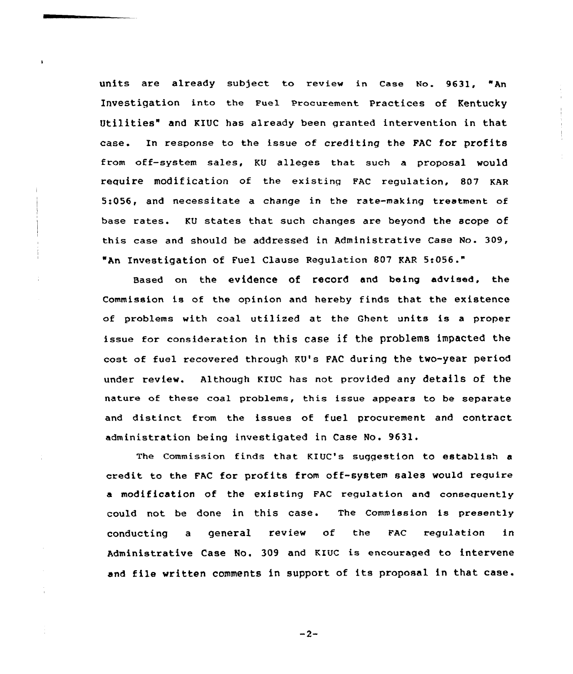units are already subject to review in case No. 9631, "An Investigation into the Fuel Procurement Practices of Kentucky Utilities" and KIUC has already been granted intervention in that ease. In response to the issue of crediting the FAC for profits from off-system sales, KU alleges that such a proposal would require modification of the existing FAC regulation, 807 KAR 5:056, and necessitate a change in the rate-making treatment of base rates. KU states that such changes are beyond the scope of this case and should be addressed in Administrative Case No. 309, "An Investigation of Fuel Clause Regulation B07 KAR 5:056."

Based on the evidence of record and being advised, the Commission is of the opinion and hereby finds that the existence of problems with coal utilized at the Ghent units is <sup>a</sup> proper issue for consideration in this case if the problems impacted the cost of fuel recovered through KU's FAC during the two-year period under review. Although KIUc has not provided any details of the nature of these coal problems, this issue appears to be separate and distinct from the issues of fuel procurement and contract administration being investigated in Case No. 9631.

The Commission finds that KIUC's suggestion to establish a credit to the FAC for profits from off-system sales would require a modification of the existing FAC regulation and consequently could not be done in this case. The Commission is presently conducting a general review of the FAC regulation in Administrative Case NO. 309 and KIUC is encouraged to intervene and file written comments in support of its proposal in that case.

 $-2-$